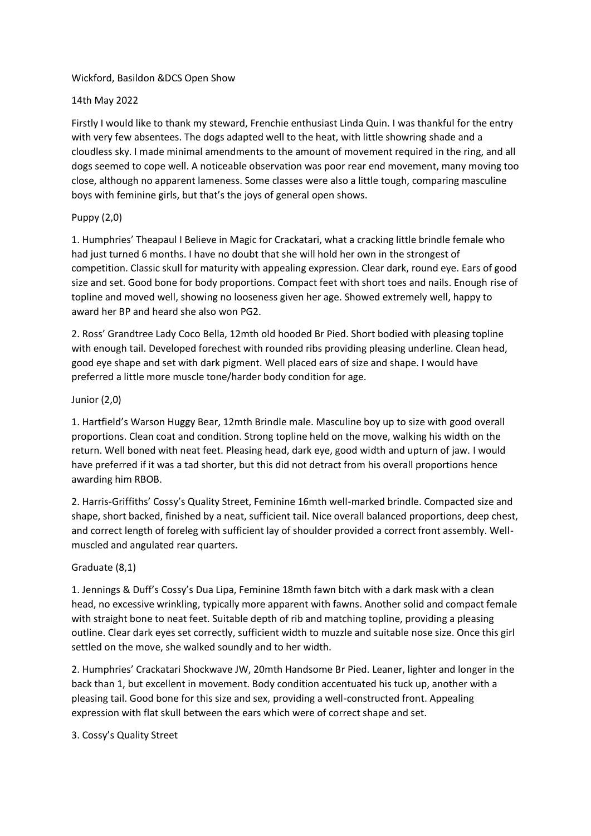#### Wickford, Basildon &DCS Open Show

### 14th May 2022

Firstly I would like to thank my steward, Frenchie enthusiast Linda Quin. I was thankful for the entry with very few absentees. The dogs adapted well to the heat, with little showring shade and a cloudless sky. I made minimal amendments to the amount of movement required in the ring, and all dogs seemed to cope well. A noticeable observation was poor rear end movement, many moving too close, although no apparent lameness. Some classes were also a little tough, comparing masculine boys with feminine girls, but that's the joys of general open shows.

### Puppy (2,0)

1. Humphries' Theapaul I Believe in Magic for Crackatari, what a cracking little brindle female who had just turned 6 months. I have no doubt that she will hold her own in the strongest of competition. Classic skull for maturity with appealing expression. Clear dark, round eye. Ears of good size and set. Good bone for body proportions. Compact feet with short toes and nails. Enough rise of topline and moved well, showing no looseness given her age. Showed extremely well, happy to award her BP and heard she also won PG2.

2. Ross' Grandtree Lady Coco Bella, 12mth old hooded Br Pied. Short bodied with pleasing topline with enough tail. Developed forechest with rounded ribs providing pleasing underline. Clean head, good eye shape and set with dark pigment. Well placed ears of size and shape. I would have preferred a little more muscle tone/harder body condition for age.

### Junior (2,0)

1. Hartfield's Warson Huggy Bear, 12mth Brindle male. Masculine boy up to size with good overall proportions. Clean coat and condition. Strong topline held on the move, walking his width on the return. Well boned with neat feet. Pleasing head, dark eye, good width and upturn of jaw. I would have preferred if it was a tad shorter, but this did not detract from his overall proportions hence awarding him RBOB.

2. Harris-Griffiths' Cossy's Quality Street, Feminine 16mth well-marked brindle. Compacted size and shape, short backed, finished by a neat, sufficient tail. Nice overall balanced proportions, deep chest, and correct length of foreleg with sufficient lay of shoulder provided a correct front assembly. Wellmuscled and angulated rear quarters.

## Graduate (8,1)

1. Jennings & Duff's Cossy's Dua Lipa, Feminine 18mth fawn bitch with a dark mask with a clean head, no excessive wrinkling, typically more apparent with fawns. Another solid and compact female with straight bone to neat feet. Suitable depth of rib and matching topline, providing a pleasing outline. Clear dark eyes set correctly, sufficient width to muzzle and suitable nose size. Once this girl settled on the move, she walked soundly and to her width.

2. Humphries' Crackatari Shockwave JW, 20mth Handsome Br Pied. Leaner, lighter and longer in the back than 1, but excellent in movement. Body condition accentuated his tuck up, another with a pleasing tail. Good bone for this size and sex, providing a well-constructed front. Appealing expression with flat skull between the ears which were of correct shape and set.

3. Cossy's Quality Street